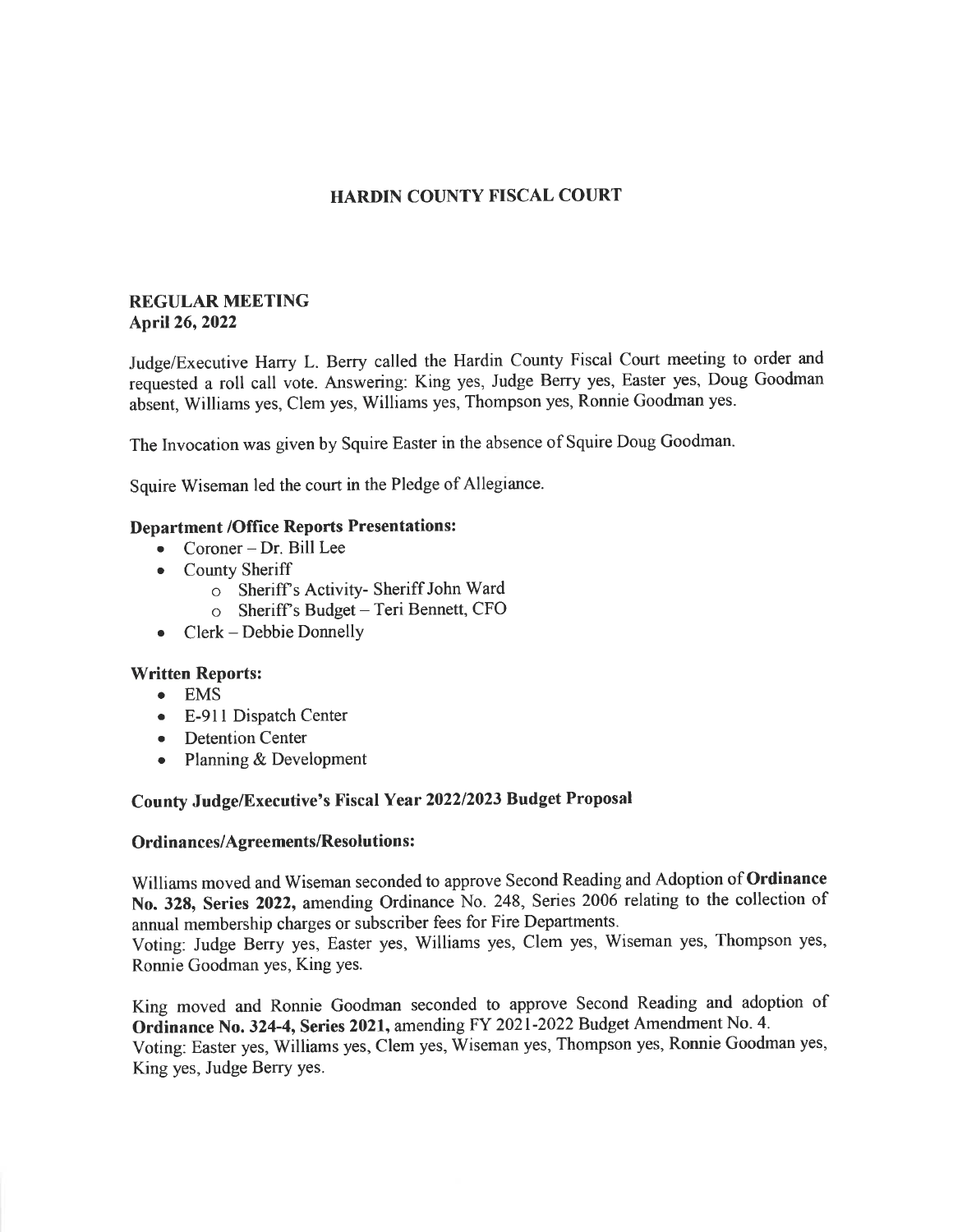## HARDIN COUNTY FISCAL COURT

### **REGULAR MEETING** April26,2022

Judge/Executive Harry L. Berry called the Hardin County Fiscal Court meeting to order and requested a roll call vote. Answering: King yes, Judge Berry yes, Easter yes, Doug Goodman absent, Williams yes, Clem yes, Williams yes, Thompson yes, Ronnie Goodman yes.

The Invocation was given by Squire Easter in the absence of Squire Doug Goodman.

Squire Wiseman led the court in the Pledge of Allegiance.

## Department /Office Reports Presentations:

- . Coroner Dr. Bill Lee
- County Sheriff
	- o Sheriffs Activity- Sheriff John Ward
	- o Sheriff's Budget Teri Bennett, CFO
- . Clerk Debbie Donnelly

#### Written Reports:

- o EMS
- o E-91I Dispatch Center
- Detention Center
- Planning & Development

# County Judge/Executive's Fiscal Year 202212023 Budget Proposal

### Ordinances/Agreements/Resolutions :

Williams moved and Wiseman seconded to approve Second Reading and Adoption of Ordinance No. 328, Series 2022, amending Ordinance No. 248, Series 2006 relating to the collection of annual membership charges or subscriber fees for Fire Departments. Voting: Judge Beny yes, Easter yes, Williams yes, Clem yes, Wiseman yes, Thompson yes, Ronnie Goodman yes, King yes.

King moved and Ronnie Goodman seconded to approve Second Reading and adoption of Ordinance No. 324-4, Series 2021, amending FY 2021-2022 Budget Amendment No. 4. Voting: Easter yes, Williams yes, Clem yes, Wiseman yes, Thompson yes, Ronnie Goodman yes, King yes, Judge Berry yes.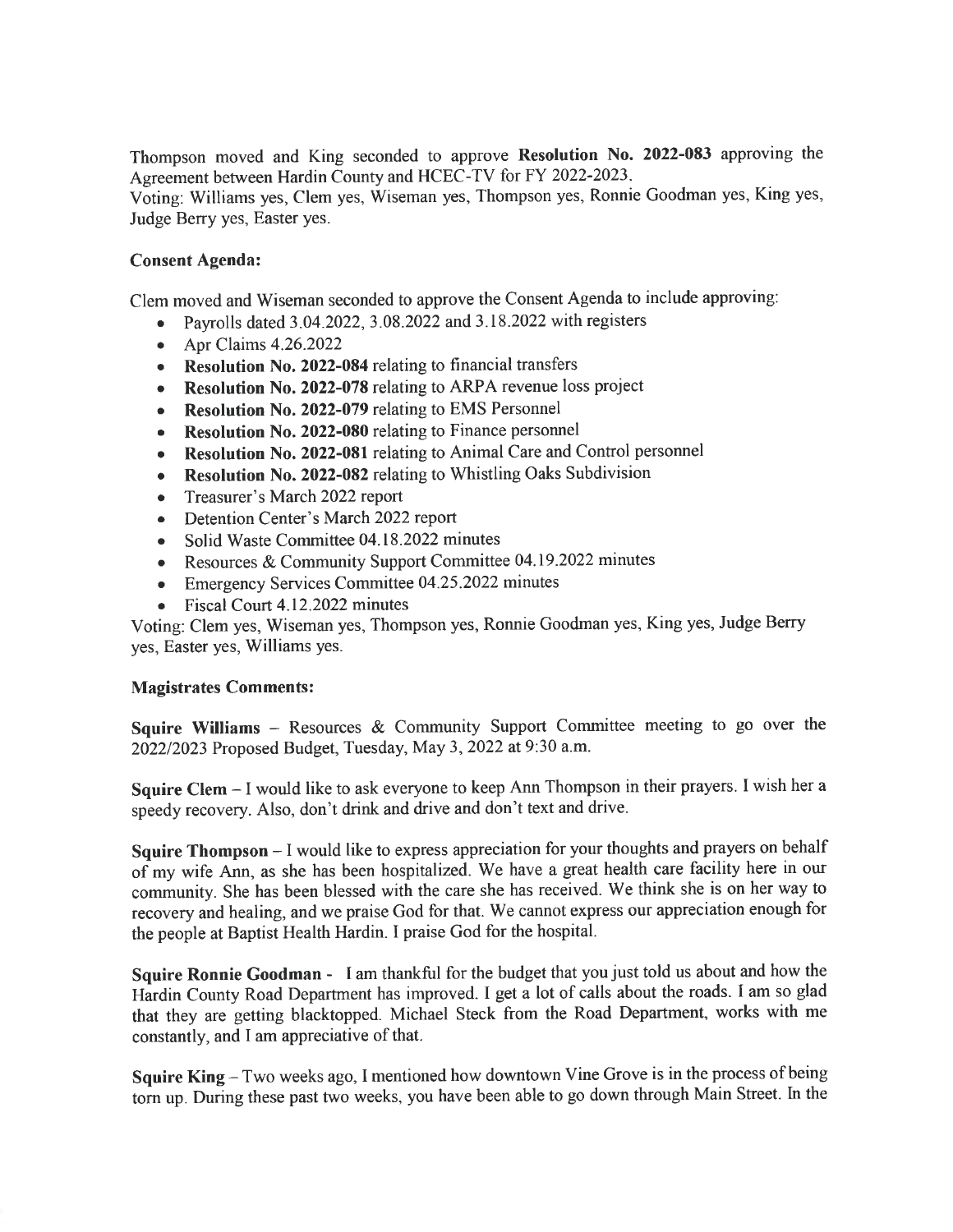Thompson moved and King seconded to approve Resolution No. 2022-083 approving the Agreement between Hardin County and HCEC-TV for FY 2022-2023- Voting: Williams yes, Clem yes, Wiseman yes, Thompson yes, Ronnie Goodman yes, King yes, Judge Berry yes, Easter yes.

# Consent Agenda:

Clem moved and Wiseman seconded to approve the Consent Agenda to include approving:

- Payrolls dated 3.04.2022, 3.08.2022 and 3.18.2022 with registers
- $\bullet$  Apr Claims 4.26.2022
- Resolution No. 2022-084 relating to financial transfers
- Resolution No. 2022-078 relating to ARPA revenue loss project
- Resolution No. 2022-079 relating to EMS Personnel
- Resolution No. 2022-080 relating to Finance personnel
- Resolution No. 2022-081 relating to Animal Care and Control personnel
- Resolution No. 2022-082 relating to Whistling Oaks Subdivision
- Treasurer's March 2022 report
- Detention Center's March 2022 report
- . Solid Waste Commiffee 04.18.2022 minutes
- Resources & Community Support Committee 04.19.2022 minutes
- o Emergency Services Committee 04.25.2022 minutes
- Fiscal Court 4.12.2022 minutes

Voting: Clem yes, Wiseman yes, Thompson yes, Ronnie Goodman yes, King yes, Judge Berry yes, Easter yes, Williams yes.

## Magistrates Comments:

Squire Williams - Resources & Community Support Committee meeting to go over the 202212023 Proposed Budget, Tuesday, May 3, 2022 at 9:30 a.m.

Squire Clem - I would like to ask everyone to keep Ann Thompson in their prayers. I wish her <sup>a</sup> speedy recovery. Also, don't drink and drive and don't text and drive.

Squire Thompson - I would like to express appreciation for your thoughts and prayers on behalf of my wife Ann, as she has been hospitalized. We have a great health care facility here in our community. She has been blessed with the care she has received. We think she is on her way to recovery and healing, and we praise God for that. We cannot express our appreciation enough for the people at Baptist Health Hardin. I praise God for the hospital.

Squire Ronnie Goodman - <sup>I</sup>am thankful for the budget that you just told us about and how the Hardin County Road Department has improved. I get a lot of calls about the roads. I am so glad that they are getting blacktopped. Michael Steck from the Road Department, works with me constantly, and I am appreciative of that.

Squire King - Two weeks ago, I mentioned how downtown Vine Grove is in the process of being torn up. During these past two weeks, you have been able to go down through Main Street. In the